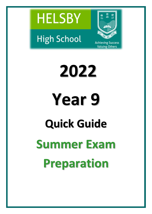





**Valuing Others** 

**2022 Year 9 Quick Guide Summer Exam Preparation**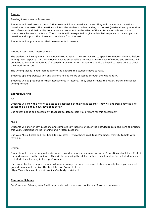# **English**

Reading Assessment – Assessment 1

Students will read two short non-fiction texts which are linked via theme. They will then answer questions based upon the texts. The questions will test the students understanding of the text (retrieval, comprehension and inference) and their ability to analyse and comment on the effect of the writer's methods and make comparisons between the texts. The students will be expected to give a detailed response to the comparison question and support their ideas with evidence from the text.

Students will be prepared for their assessments in lessons.

#### Writing Assessment - Assessment 2

The students will complete a transactional writing task. They are advised to spend 10 minutes planning before writing their response. A transactional piece is essentially a non-fiction style piece of writing and students will be asked to write in the format of a speech, article or letter. Students are also advised to leave time to check their work for errors.

The writing task is linked thematically to the extracts the students have to read.

Students spelling, punctuation and grammar skills will be assessed through the writing task.

Students will be prepared for their assessments in lessons. They should revise the letter, article and speech writing formats.

### **Expressive Arts**

Art

Students will show their work to date to be assessed by their class teacher. They will undertake key tasks to assess the skills they have developed so far.

Use sketch books and assessment feedback to date to help you prepare for this assessment.

#### Music

Students will answer key questions and complete key tasks to uncover the knowledge retained from all projects this year. Questions will be listening and written questions.

Use your Music books and KS3 bbc bite size <https://www.bbc.co.uk/bitesize/subjects/zmsvr82> to help with revision.

#### Drama

Students will create an original performance based on a given stimulus and write 3 questions about the effect of the performance on the audience. This will be assessing the skills you have developed so far and students need to include their learning in their performance.

Use drama books to help remember all your learning. Use your assessment sheets to help focus you on what good drama should be like. Use bbc bite size Drama to help <https://www.bbc.co.uk/bitesize/guides/zn4xwty/revision/1>

### **Computer Science**

For Computer Science, Year 9 will be provided with a revision booklet via Show My Homework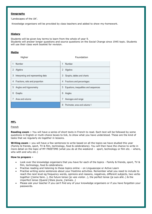### **Geography**

'Landscapes of the UK'.

Knowledge organisers will be provided by class teachers and added to show-my-homework.

# **History**

Students will be given key terms to learn from the whole of year 9. Students will answer longer questions and source questions on the Social Change since 1945 topic. Students will use their class work booklet for revision.

# **Maths**

| Higher                                  |   | Foundation                            |
|-----------------------------------------|---|---------------------------------------|
| Number                                  |   | Number                                |
| Algebra<br>2                            | 2 | Algebra                               |
| 3<br>Interpreting and representing data | 3 | Graphs, tables and charts             |
| Fractions, ratio and proportion<br>4    | 4 | Fractions and percentages             |
| 5<br>Angles and trigonometry            | 5 | Equations, inequalities and sequences |
| 6<br>Graphs                             | 6 | Angles                                |
| Area and volume                         |   | Averages and range                    |
|                                         | 8 | Perimeter, area and volume 1          |

# **MFL**

### French

**Reading exam –** You will have a series of short texts in French to read. Each text will be followed by some questions in English or multi-choice boxes to tick, to show what you have understood. These are the kind of tasks that we regularly do together in lessons.

**Writing exam -** you will have a few sentences to write based on all the topics we have studied this year (Family & friends, sport, TV & film, technology, food & celebrations). You will then have the chance to write in more detail on the topic of MY FREETIME (what you do at the weekend – sport, technology or film etc. - where, who with and why etc.)

# **How to prepare –**

- Look over the knowledge organisers that you have for each of the topics Family & friends, sport, TV & film, technology, food & celebrations.
- Practise reading and listening to these topics online on Linguascope or Active Learn
- Practise writing some sentences about your freetime activities. Remember what you need to include to reach the next level eg frequency words, opinions and reasons, negatives, different subjects, two verbs together (j'aime faire…), the future tense (je vais visiter…), the perfect tense (je suis allé..) & the imperfect tense (Quand j'étais jeune, j'aimais…)
- Please ask your teacher if you can't find any of your knowledge organisers or if you have forgotten your passwords.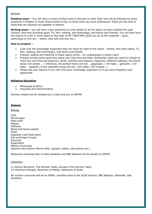#### German

**Reading exam –** You will have a series of short texts in German to read. Each text will be followed by some questions in English or multi-choice boxes to tick, to show what you have understood. These are the kind of tasks that we regularly do together in lessons.

**Writing exam –** you will have a few sentences to write based on all the topics we have studied this year (School, free time including sport, TV, film, reading, and technology, and family and friends). You will then have the chance to write in more detail on the topic of MY FREETIME (what you do at the weekend – sport, technology or film etc. - where, who with and why etc.)

#### **How to prepare –**

- Look over the knowledge organisers that you have for each of the topics School, free time (sport, TV, film, reading, and technology), and family and friends
- Practise reading and listening to these topics online on Linguascope or Active Learn
- Practise writing some sentences about your free time activities. Remember what you need to include to reach the next level eg frequency words, opinions and reasons, negatives, different subjects, the future tense (Ich werde … + infinitive), the perfect tense (Ich bin … gegangen. / Ich habe … gemacht. / Ich habe … gespielt.) & the imperfect tense (Es war…/Ich hatte…/Ich musste…)
- Please ask your teacher if you can't find your knowledge organisers or if you have forgotten your passwords.

### **Religious Education**

- Philosophy & Ethics
- Prejudice and Discrimination

Revision sheets will be handed out in class and put on SMHW

### **Science**

Biology

Cells Microscopes Stem cells Mitosis Diffusion Blood and blood vessels Heart Digestion (and food tests) Gas exchange (Lungs) Enzymes Respiration Effects of exercise General How Science Works skills. (graphs, tables, calculations etc.)

Resources including links to Oaks Academy and BBC Bitesize will be placed on SMHW.

### Chemistry

C1 Atomic Structure, The Periodic Table, Groups in the Periodic Table. C4 Chemical Changes, Reactions of Metals, Reactions of Acids.

All revision resources will be on SMHK, including links to My GCSE Science, BBC Bitesize, Keboodle, Oak Academy.